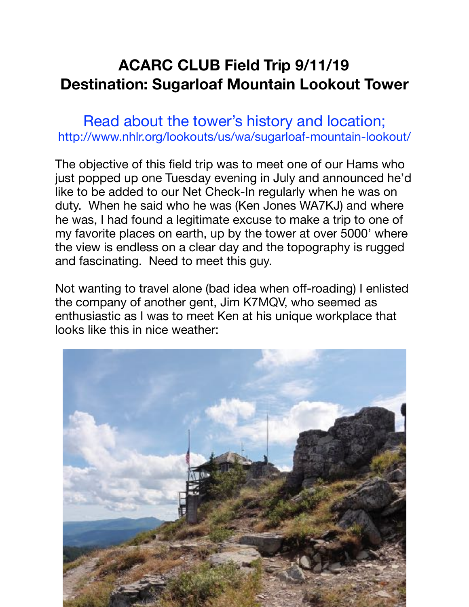## **ACARC CLUB Field Trip 9/11/19 Destination: Sugarloaf Mountain Lookout Tower**

Read about the tower's history and location; http://www.nhlr.org/lookouts/us/wa/sugarloaf-mountain-lookout/

The objective of this field trip was to meet one of our Hams who just popped up one Tuesday evening in July and announced he'd like to be added to our Net Check-In regularly when he was on duty. When he said who he was (Ken Jones WA7KJ) and where he was, I had found a legitimate excuse to make a trip to one of my favorite places on earth, up by the tower at over 5000' where the view is endless on a clear day and the topography is rugged and fascinating. Need to meet this guy.

Not wanting to travel alone (bad idea when off-roading) I enlisted the company of another gent, Jim K7MQV, who seemed as enthusiastic as I was to meet Ken at his unique workplace that looks like this in nice weather:

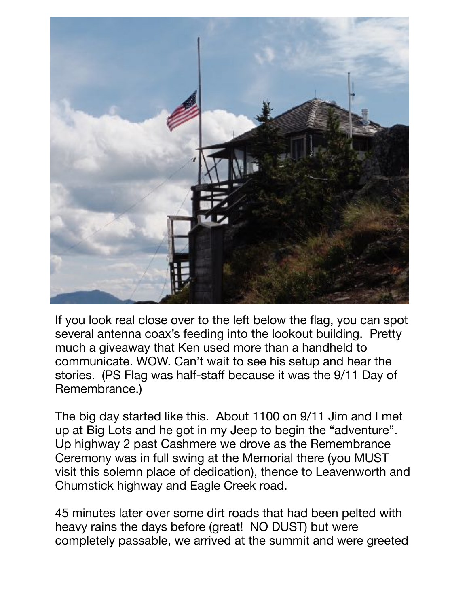

If you look real close over to the left below the flag, you can spot several antenna coax's feeding into the lookout building. Pretty much a giveaway that Ken used more than a handheld to communicate. WOW. Can't wait to see his setup and hear the stories. (PS Flag was half-staff because it was the 9/11 Day of Remembrance.)

The big day started like this. About 1100 on 9/11 Jim and I met up at Big Lots and he got in my Jeep to begin the "adventure". Up highway 2 past Cashmere we drove as the Remembrance Ceremony was in full swing at the Memorial there (you MUST visit this solemn place of dedication), thence to Leavenworth and Chumstick highway and Eagle Creek road.

45 minutes later over some dirt roads that had been pelted with heavy rains the days before (great! NO DUST) but were completely passable, we arrived at the summit and were greeted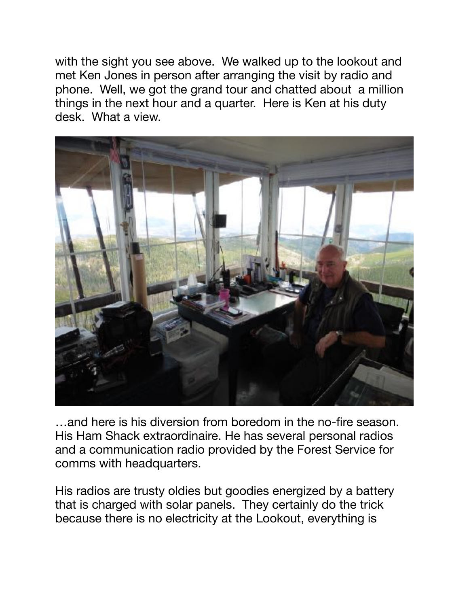with the sight you see above. We walked up to the lookout and met Ken Jones in person after arranging the visit by radio and phone. Well, we got the grand tour and chatted about a million things in the next hour and a quarter. Here is Ken at his duty desk. What a view.



…and here is his diversion from boredom in the no-fire season. His Ham Shack extraordinaire. He has several personal radios and a communication radio provided by the Forest Service for comms with headquarters.

His radios are trusty oldies but goodies energized by a battery that is charged with solar panels. They certainly do the trick because there is no electricity at the Lookout, everything is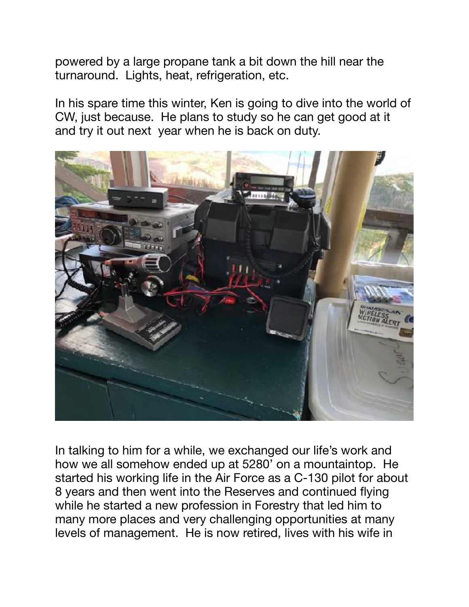powered by a large propane tank a bit down the hill near the turnaround. Lights, heat, refrigeration, etc.

In his spare time this winter, Ken is going to dive into the world of CW, just because. He plans to study so he can get good at it and try it out next year when he is back on duty.



In talking to him for a while, we exchanged our life's work and how we all somehow ended up at 5280' on a mountaintop. He started his working life in the Air Force as a C-130 pilot for about 8 years and then went into the Reserves and continued flying while he started a new profession in Forestry that led him to many more places and very challenging opportunities at many levels of management. He is now retired, lives with his wife in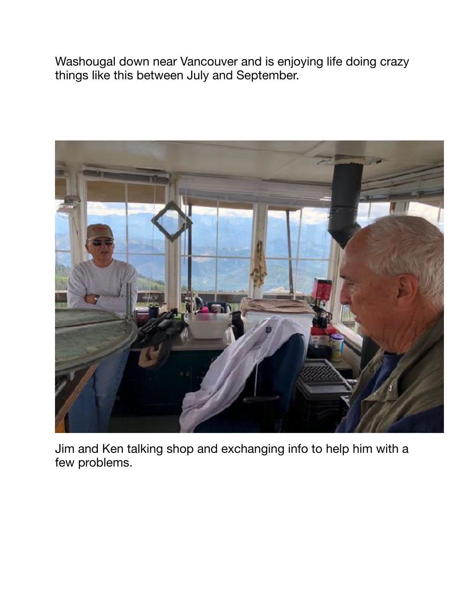Washougal down near Vancouver and is enjoying life doing crazy things like this between July and September.



Jim and Ken talking shop and exchanging info to help him with a few problems.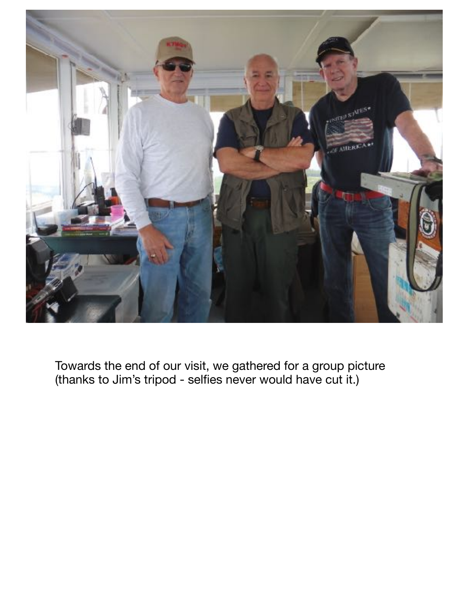

Towards the end of our visit, we gathered for a group picture (thanks to Jim's tripod - selfies never would have cut it.)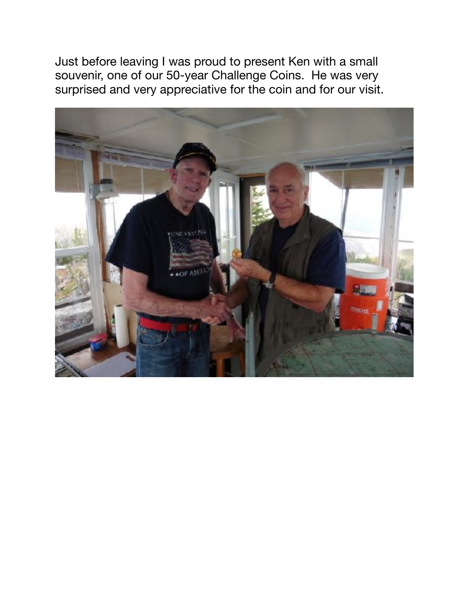Just before leaving I was proud to present Ken with a small souvenir, one of our 50-year Challenge Coins. He was very surprised and very appreciative for the coin and for our visit.

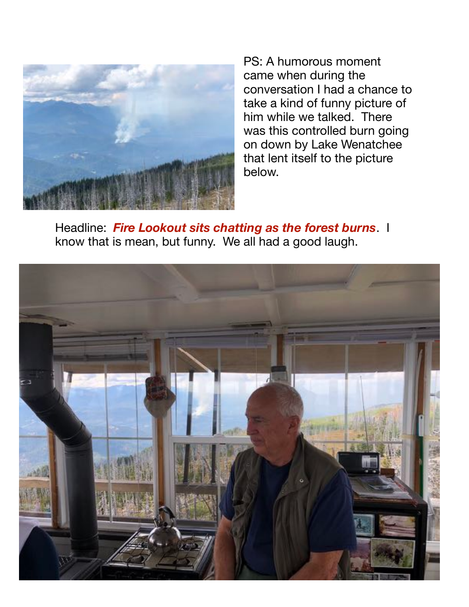

PS: A humorous moment came when during the conversation I had a chance to take a kind of funny picture of him while we talked. There was this controlled burn going on down by Lake Wenatchee that lent itself to the picture below.

Headline: *Fire Lookout sits chatting as the forest burns*. I know that is mean, but funny. We all had a good laugh.

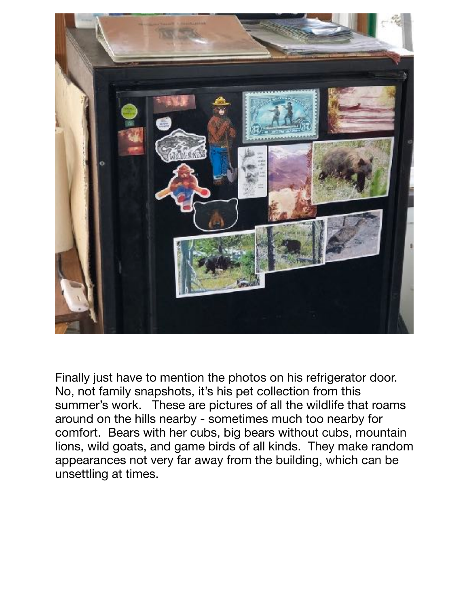

Finally just have to mention the photos on his refrigerator door. No, not family snapshots, it's his pet collection from this summer's work. These are pictures of all the wildlife that roams around on the hills nearby - sometimes much too nearby for comfort. Bears with her cubs, big bears without cubs, mountain lions, wild goats, and game birds of all kinds. They make random appearances not very far away from the building, which can be unsettling at times.